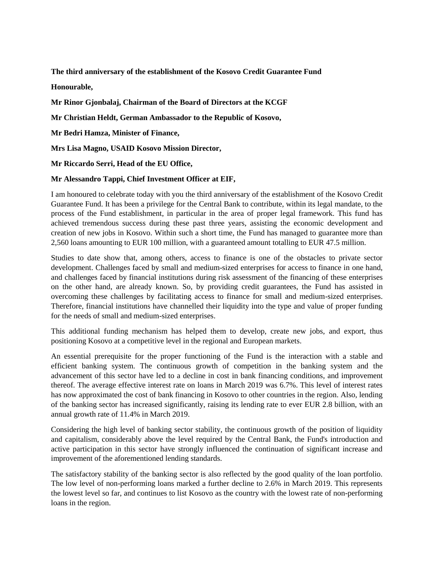**The third anniversary of the establishment of the Kosovo Credit Guarantee Fund Honourable,**

**Mr Rinor Gjonbalaj, Chairman of the Board of Directors at the KCGF**

**Mr Christian Heldt, German Ambassador to the Republic of Kosovo,**

**Mr Bedri Hamza, Minister of Finance,** 

**Mrs Lisa Magno, USAID Kosovo Mission Director,** 

**Mr Riccardo Serri, Head of the EU Office,**

## **Mr Alessandro Tappi, Chief Investment Officer at EIF,**

I am honoured to celebrate today with you the third anniversary of the establishment of the Kosovo Credit Guarantee Fund. It has been a privilege for the Central Bank to contribute, within its legal mandate, to the process of the Fund establishment, in particular in the area of proper legal framework. This fund has achieved tremendous success during these past three years, assisting the economic development and creation of new jobs in Kosovo. Within such a short time, the Fund has managed to guarantee more than 2,560 loans amounting to EUR 100 million, with a guaranteed amount totalling to EUR 47.5 million.

Studies to date show that, among others, access to finance is one of the obstacles to private sector development. Challenges faced by small and medium-sized enterprises for access to finance in one hand, and challenges faced by financial institutions during risk assessment of the financing of these enterprises on the other hand, are already known. So, by providing credit guarantees, the Fund has assisted in overcoming these challenges by facilitating access to finance for small and medium-sized enterprises. Therefore, financial institutions have channelled their liquidity into the type and value of proper funding for the needs of small and medium-sized enterprises.

This additional funding mechanism has helped them to develop, create new jobs, and export, thus positioning Kosovo at a competitive level in the regional and European markets.

An essential prerequisite for the proper functioning of the Fund is the interaction with a stable and efficient banking system. The continuous growth of competition in the banking system and the advancement of this sector have led to a decline in cost in bank financing conditions, and improvement thereof. The average effective interest rate on loans in March 2019 was 6.7%. This level of interest rates has now approximated the cost of bank financing in Kosovo to other countries in the region. Also, lending of the banking sector has increased significantly, raising its lending rate to ever EUR 2.8 billion, with an annual growth rate of 11.4% in March 2019.

Considering the high level of banking sector stability, the continuous growth of the position of liquidity and capitalism, considerably above the level required by the Central Bank, the Fund's introduction and active participation in this sector have strongly influenced the continuation of significant increase and improvement of the aforementioned lending standards.

The satisfactory stability of the banking sector is also reflected by the good quality of the loan portfolio. The low level of non-performing loans marked a further decline to 2.6% in March 2019. This represents the lowest level so far, and continues to list Kosovo as the country with the lowest rate of non-performing loans in the region.